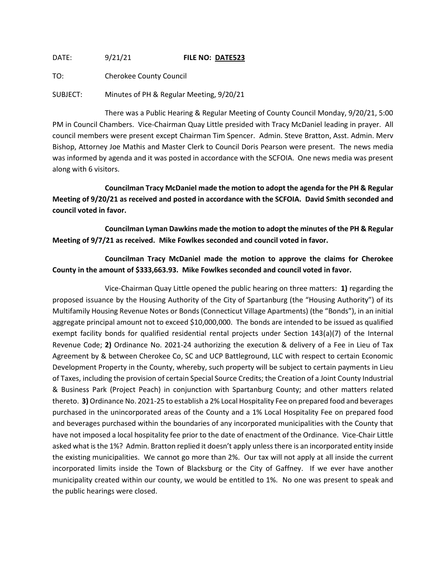DATE: 9/21/21 **FILE NO: DATE523**

TO: Cherokee County Council

SUBJECT: Minutes of PH & Regular Meeting, 9/20/21

There was a Public Hearing & Regular Meeting of County Council Monday, 9/20/21, 5:00 PM in Council Chambers. Vice-Chairman Quay Little presided with Tracy McDaniel leading in prayer. All council members were present except Chairman Tim Spencer. Admin. Steve Bratton, Asst. Admin. Merv Bishop, Attorney Joe Mathis and Master Clerk to Council Doris Pearson were present. The news media was informed by agenda and it was posted in accordance with the SCFOIA. One news media was present along with 6 visitors.

**Councilman Tracy McDaniel made the motion to adopt the agenda for the PH & Regular Meeting of 9/20/21 as received and posted in accordance with the SCFOIA. David Smith seconded and council voted in favor.**

**Councilman Lyman Dawkins made the motion to adopt the minutes of the PH & Regular Meeting of 9/7/21 as received. Mike Fowlkes seconded and council voted in favor.**

**Councilman Tracy McDaniel made the motion to approve the claims for Cherokee County in the amount of \$333,663.93. Mike Fowlkes seconded and council voted in favor.**

Vice-Chairman Quay Little opened the public hearing on three matters: **1)** regarding the proposed issuance by the Housing Authority of the City of Spartanburg (the "Housing Authority") of its Multifamily Housing Revenue Notes or Bonds (Connecticut Village Apartments) (the "Bonds"), in an initial aggregate principal amount not to exceed \$10,000,000. The bonds are intended to be issued as qualified exempt facility bonds for qualified residential rental projects under Section 143(a)(7) of the Internal Revenue Code; **2)** Ordinance No. 2021-24 authorizing the execution & delivery of a Fee in Lieu of Tax Agreement by & between Cherokee Co, SC and UCP Battleground, LLC with respect to certain Economic Development Property in the County, whereby, such property will be subject to certain payments in Lieu of Taxes, including the provision of certain Special Source Credits; the Creation of a Joint County Industrial & Business Park (Project Peach) in conjunction with Spartanburg County; and other matters related thereto. **3)** Ordinance No. 2021-25 to establish a 2% Local Hospitality Fee on prepared food and beverages purchased in the unincorporated areas of the County and a 1% Local Hospitality Fee on prepared food and beverages purchased within the boundaries of any incorporated municipalities with the County that have not imposed a local hospitality fee prior to the date of enactment of the Ordinance. Vice-Chair Little asked what is the 1%? Admin. Bratton replied it doesn't apply unless there is an incorporated entity inside the existing municipalities. We cannot go more than 2%. Our tax will not apply at all inside the current incorporated limits inside the Town of Blacksburg or the City of Gaffney. If we ever have another municipality created within our county, we would be entitled to 1%. No one was present to speak and the public hearings were closed.